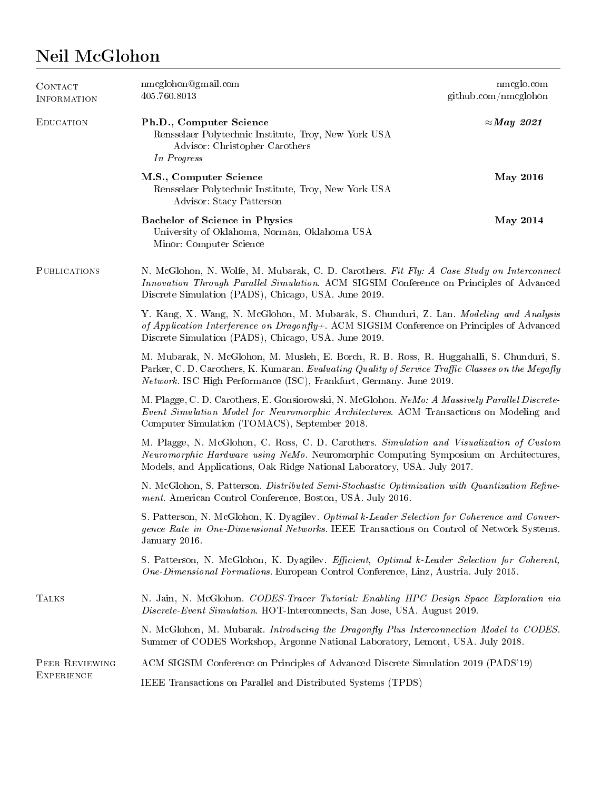## Neil McGlohon

| CONTACT<br>INFORMATION              | nmcglohon@gmail.com<br>405.760.8013                                                                                                                                                                                                                                         | nmcglo.com<br>$g$ ithub.com/nmcglohon |
|-------------------------------------|-----------------------------------------------------------------------------------------------------------------------------------------------------------------------------------------------------------------------------------------------------------------------------|---------------------------------------|
| <b>EDUCATION</b>                    | Ph.D., Computer Science<br>Rensselaer Polytechnic Institute, Troy, New York USA<br>Advisor: Christopher Carothers<br>In Progress                                                                                                                                            | $\approx$ May 2021                    |
|                                     | M.S., Computer Science<br>Rensselaer Polytechnic Institute, Troy, New York USA<br>Advisor: Stacy Patterson                                                                                                                                                                  | <b>May 2016</b>                       |
|                                     | Bachelor of Science in Physics<br>University of Oklahoma, Norman, Oklahoma USA<br>Minor: Computer Science                                                                                                                                                                   | May 2014                              |
| <b>PUBLICATIONS</b>                 | N. McGlohon, N. Wolfe, M. Mubarak, C. D. Carothers. Fit Fly: A Case Study on Interconnect<br>Innovation Through Parallel Simulation. ACM SIGSIM Conference on Principles of Advanced<br>Discrete Simulation (PADS), Chicago, USA. June 2019.                                |                                       |
|                                     | Y. Kang, X. Wang, N. McGlohon, M. Mubarak, S. Chunduri, Z. Lan. Modeling and Analysis<br>of Application Interference on Dragonfly+. ACM SIGSIM Conference on Principles of Advanced<br>Discrete Simulation (PADS), Chicago, USA. June 2019.                                 |                                       |
|                                     | M. Mubarak, N. McGlohon, M. Musleh, E. Borch, R. B. Ross, R. Huggahalli, S. Chunduri, S.<br>Parker, C. D. Carothers, K. Kumaran. Evaluating Quality of Service Traffic Classes on the Megafly<br><i>Network.</i> ISC High Performance (ISC), Frankfurt, Germany. June 2019. |                                       |
|                                     | M. Plagge, C. D. Carothers, E. Gonsiorowski, N. McGlohon. NeMo: A Massively Parallel Discrete-<br>Event Simulation Model for Neuromorphic Architectures. ACM Transactions on Modeling and<br>Computer Simulation (TOMACS), September 2018.                                  |                                       |
|                                     | M. Plagge, N. McGlohon, C. Ross, C. D. Carothers. Simulation and Visualization of Custom<br>Neuromorphic Hardware using NeMo. Neuromorphic Computing Symposium on Architectures,<br>Models, and Applications, Oak Ridge National Laboratory, USA. July 2017.                |                                       |
|                                     | N. McGlohon, S. Patterson. Distributed Semi-Stochastic Optimization with Quantization Refine-<br>ment. American Control Conference, Boston, USA. July 2016.                                                                                                                 |                                       |
|                                     | S. Patterson, N. McGlohon, K. Dyagilev. Optimal k-Leader Selection for Coherence and Conver-<br>gence Rate in One-Dimensional Networks. IEEE Transactions on Control of Network Systems.<br>January 2016.                                                                   |                                       |
|                                     | S. Patterson, N. McGlohon, K. Dyagilev. Efficient, Optimal k-Leader Selection for Coherent,<br>One-Dimensional Formations. European Control Conference, Linz, Austria. July 2015.                                                                                           |                                       |
| <b>TALKS</b>                        | N. Jain, N. McGlohon. CODES-Tracer Tutorial: Enabling HPC Design Space Exploration via<br>Discrete-Event Simulation. HOT-Interconnects, San Jose, USA. August 2019.                                                                                                         |                                       |
|                                     | N. McGlohon, M. Mubarak. Introducing the Dragonfly Plus Interconnection Model to CODES.<br>Summer of CODES Workshop, Argonne National Laboratory, Lemont, USA. July 2018.                                                                                                   |                                       |
| PEER REVIEWING<br><b>EXPERIENCE</b> | ACM SIGSIM Conference on Principles of Advanced Discrete Simulation 2019 (PADS'19)                                                                                                                                                                                          |                                       |
|                                     | IEEE Transactions on Parallel and Distributed Systems (TPDS)                                                                                                                                                                                                                |                                       |